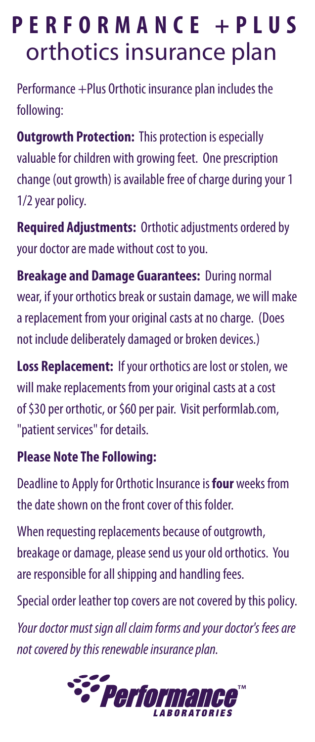## **P E R F O R M A N C E + P L U S** orthotics insurance plan

Performance +Plus Orthotic insurance plan includes the following:

**Outgrowth Protection: This protection is especially** valuable for children with growing feet. One prescription change (out growth) is available free of charge during your 1 1/2 year policy.

**Required Adjustments:** Orthotic adjustments ordered by your doctor are made without cost to you.

**Breakage and Damage Guarantees:** During normal wear, if your orthotics break or sustain damage, we will make a replacement from your original casts at no charge. (Does not include deliberately damaged or broken devices.)

**Loss Replacement:** If your orthotics are lost or stolen, we will make replacements from your original casts at a cost of \$30 per orthotic, or \$60 per pair. Visit performlab.com, "patient services" for details.

## **Please Note The Following:**

Deadline to Apply for Orthotic Insurance is **four** weeks from the date shown on the front cover of this folder.

When requesting replacements because of outgrowth, breakage or damage, please send us your old orthotics. You are responsible for all shipping and handling fees.

Special order leather top covers are not covered by this policy.

*Your doctor must sign all claim forms and your doctor's fees are not covered by this renewable insurance plan.*